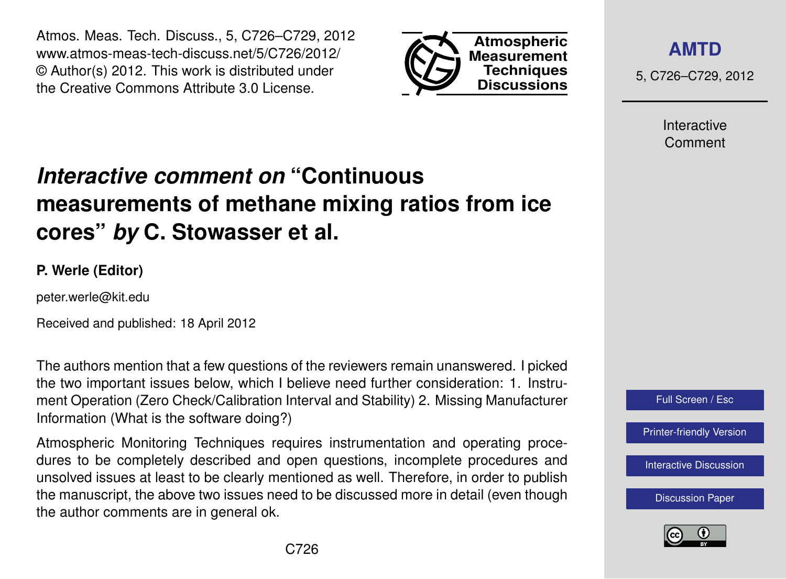Atmos. Meas. Tech. Discuss., 5, C726–C729, 2012 www.atmos-meas-tech-discuss.net/5/C726/2012/ © Author(s) 2012. This work is distributed under the Creative Commons Attribute 3.0 License.



**[AMTD](http://www.atmos-meas-tech-discuss.net)**

5, C726–C729, 2012

Interactive Comment

## *Interactive comment on* **"Continuous measurements of methane mixing ratios from ice cores"** *by* **C. Stowasser et al.**

## **P. Werle (Editor)**

peter.werle@kit.edu

Received and published: 18 April 2012

The authors mention that a few questions of the reviewers remain unanswered. I picked the two important issues below, which I believe need further consideration: 1. Instrument Operation (Zero Check/Calibration Interval and Stability) 2. Missing Manufacturer Information (What is the software doing?)

Atmospheric Monitoring Techniques requires instrumentation and operating procedures to be completely described and open questions, incomplete procedures and unsolved issues at least to be clearly mentioned as well. Therefore, in order to publish the manuscript, the above two issues need to be discussed more in detail (even though the author comments are in general ok.



[Interactive Discussion](http://www.atmos-meas-tech-discuss.net/5/211/2012/amtd-5-211-2012-discussion.html)

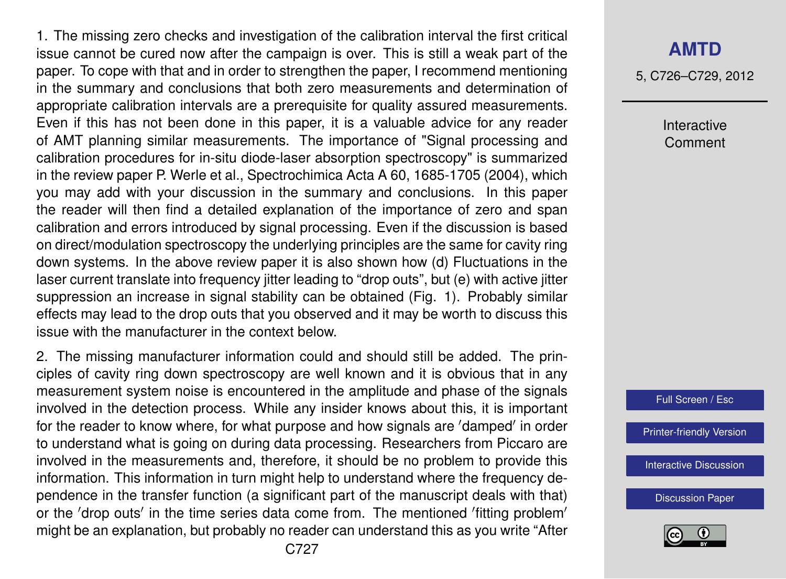1. The missing zero checks and investigation of the calibration interval the first critical issue cannot be cured now after the campaign is over. This is still a weak part of the paper. To cope with that and in order to strengthen the paper, I recommend mentioning in the summary and conclusions that both zero measurements and determination of appropriate calibration intervals are a prerequisite for quality assured measurements. Even if this has not been done in this paper, it is a valuable advice for any reader of AMT planning similar measurements. The importance of "Signal processing and calibration procedures for in-situ diode-laser absorption spectroscopy" is summarized in the review paper P. Werle et al., Spectrochimica Acta A 60, 1685-1705 (2004), which you may add with your discussion in the summary and conclusions. In this paper the reader will then find a detailed explanation of the importance of zero and span calibration and errors introduced by signal processing. Even if the discussion is based on direct/modulation spectroscopy the underlying principles are the same for cavity ring down systems. In the above review paper it is also shown how (d) Fluctuations in the laser current translate into frequency jitter leading to "drop outs", but (e) with active jitter suppression an increase in signal stability can be obtained (Fig. 1). Probably similar effects may lead to the drop outs that you observed and it may be worth to discuss this issue with the manufacturer in the context below.

2. The missing manufacturer information could and should still be added. The principles of cavity ring down spectroscopy are well known and it is obvious that in any measurement system noise is encountered in the amplitude and phase of the signals involved in the detection process. While any insider knows about this, it is important for the reader to know where, for what purpose and how signals are 'damped' in order to understand what is going on during data processing. Researchers from Piccaro are involved in the measurements and, therefore, it should be no problem to provide this information. This information in turn might help to understand where the frequency dependence in the transfer function (a significant part of the manuscript deals with that) or the 'drop outs' in the time series data come from. The mentioned 'fitting problem' might be an explanation, but probably no reader can understand this as you write "After 5, C726–C729, 2012

Interactive Comment



[Printer-friendly Version](http://www.atmos-meas-tech-discuss.net/5/C726/2012/amtd-5-C726-2012-print.pdf)

[Interactive Discussion](http://www.atmos-meas-tech-discuss.net/5/211/2012/amtd-5-211-2012-discussion.html)

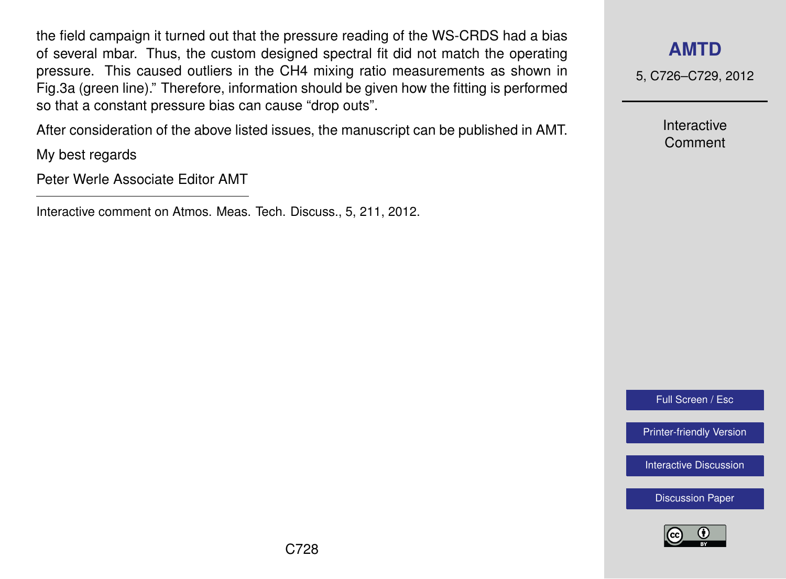the field campaign it turned out that the pressure reading of the WS-CRDS had a bias of several mbar. Thus, the custom designed spectral fit did not match the operating pressure. This caused outliers in the CH4 mixing ratio measurements as shown in Fig.3a (green line)." Therefore, information should be given how the fitting is performed so that a constant pressure bias can cause "drop outs".

After consideration of the above listed issues, the manuscript can be published in AMT.

My best regards

Peter Werle Associate Editor AMT

Interactive comment on Atmos. Meas. Tech. Discuss., 5, 211, 2012.

## **[AMTD](http://www.atmos-meas-tech-discuss.net)**

5, C726–C729, 2012

Interactive Comment

Full Screen / Esc

[Printer-friendly Version](http://www.atmos-meas-tech-discuss.net/5/C726/2012/amtd-5-C726-2012-print.pdf)

[Interactive Discussion](http://www.atmos-meas-tech-discuss.net/5/211/2012/amtd-5-211-2012-discussion.html)